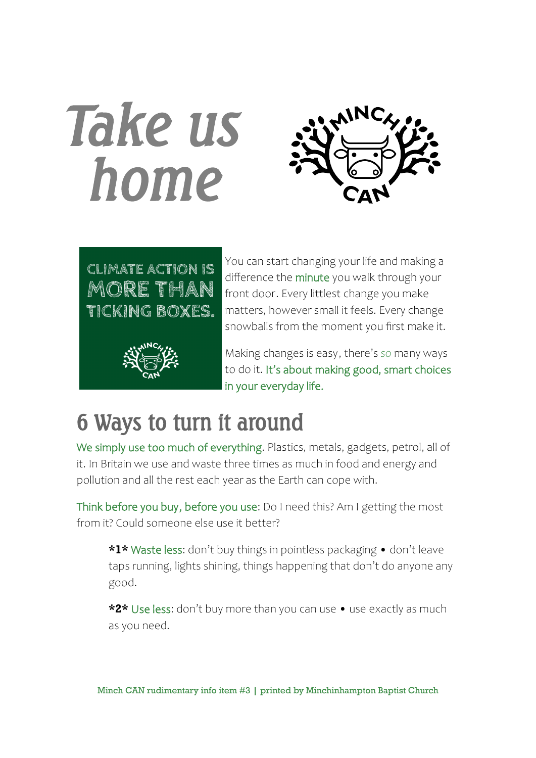# *Take us home*







You can start changing your life and making a difference the minute you walk through your front door. Every littlest change you make matters, however small it feels. Every change snowballs from the moment you first make it.

Making changes is easy, there's *so* many ways to do it. It's about making good, smart choices in your everyday life.

### 6 Ways to turn it around

We simply use too much of everything. Plastics, metals, gadgets, petrol, all of it. In Britain we use and waste three times as much in food and energy and pollution and all the rest each year as the Earth can cope with.

Think before you buy, before you use: Do I need this? Am I getting the most from it? Could someone else use it better?

**\*1\*** Waste less: don't buy things in pointless packaging • don't leave taps running, lights shining, things happening that don't do anyone any good.

**\*2\*** Use less: don't buy more than you can use • use exactly as much as you need.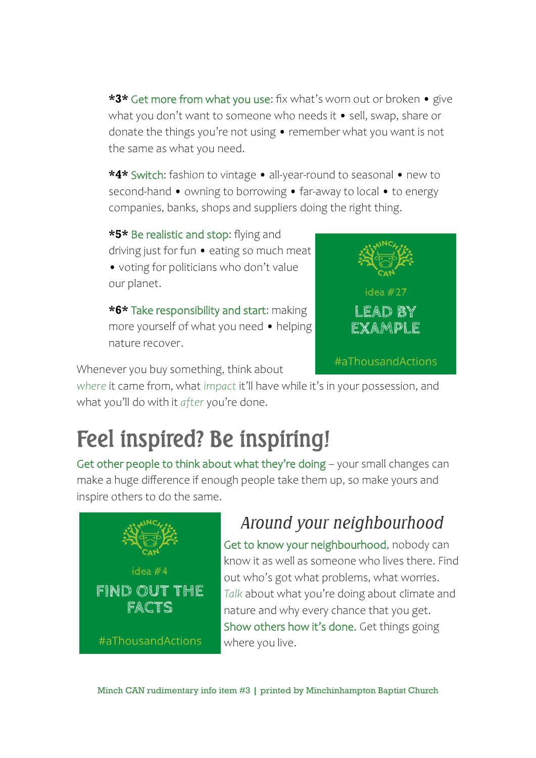**\*3\*** Get more from what you use: fix what's worn out or broken • give what you don't want to someone who needs it • sell, swap, share or donate the things you're not using • remember what you want is not the same as what you need.

**\*4\*** Switch: fashion to vintage • all-year-round to seasonal • new to second-hand • owning to borrowing • far-away to local • to energy companies, banks, shops and suppliers doing the right thing.

**\*5\*** Be realistic and stop: flying and driving just for fun • eating so much meat

• voting for politicians who don't value our planet.

**\*6\*** Take responsibility and start: making more yourself of what you need • helping nature recover.



Whenever you buy something, think about

*where* it came from, what *impact* it'll have while it's in your possession, and what you'll do with it *after* you're done.

# Feel inspired? Be inspiring!

Get other people to think about what they're doing – your small changes can make a huge difference if enough people take them up, so make yours and inspire others to do the same.



#### *Around your neighbourhood*

Get to know your neighbourhood, nobody can know it as well as someone who lives there. Find out who's got what problems, what worries. *Talk* about what you're doing about climate and nature and why every chance that you get. Show others how it's done. Get things going where you live.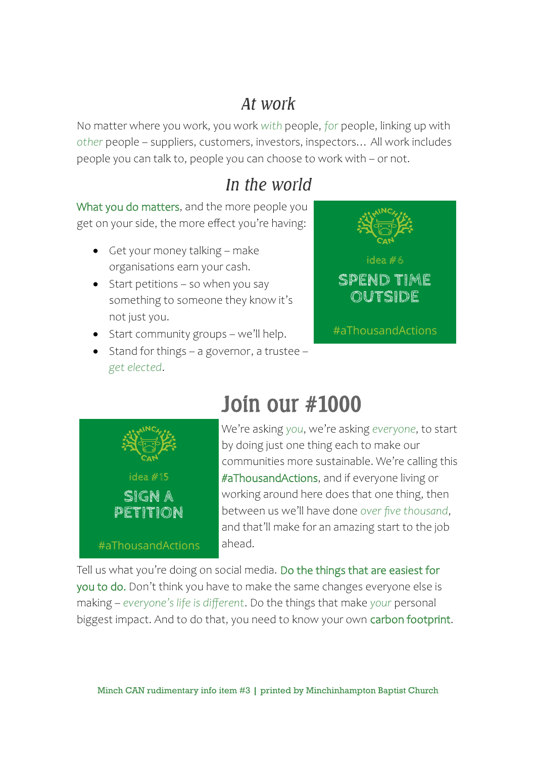#### *At work*

No matter where you work, you work *with* people, *for* people, linking up with *other* people – suppliers, customers, investors, inspectors… All work includes people you can talk to, people you can choose to work with – or not.

#### *In the world*

What you do matters, and the more people you get on your side, the more effect you're having:

- Get your money talking make organisations earn your cash.
- $\bullet$  Start petitions so when you say something to someone they know it's not just you.
- Start community groups we'll help.
- Stand for things a governor, a trustee *get elected*.





## Join our #1000

We're asking *you*, we're asking *everyone*, to start by doing just one thing each to make our communities more sustainable. We're calling this #aThousandActions, and if everyone living or working around here does that one thing, then between us we'll have done *over five thousand*, and that'll make for an amazing start to the job ahead.

Tell us what you're doing on social media. Do the things that are easiest for you to do. Don't think you have to make the same changes everyone else is making – *everyone's life is different*. Do the things that make *your* personal biggest impact. And to do that, you need to know your own carbon footprint.